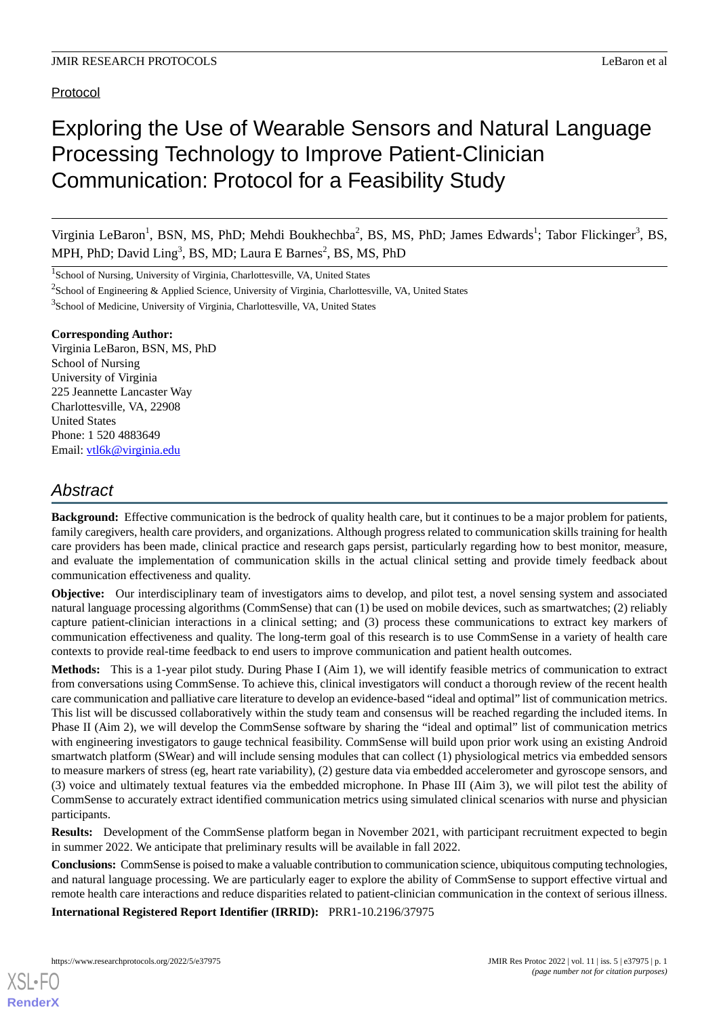# Protocol

# Exploring the Use of Wearable Sensors and Natural Language Processing Technology to Improve Patient-Clinician Communication: Protocol for a Feasibility Study

Virginia LeBaron<sup>1</sup>, BSN, MS, PhD; Mehdi Boukhechba<sup>2</sup>, BS, MS, PhD; James Edwards<sup>1</sup>; Tabor Flickinger<sup>3</sup>, BS, MPH, PhD; David Ling<sup>3</sup>, BS, MD; Laura E Barnes<sup>2</sup>, BS, MS, PhD

<sup>1</sup>School of Nursing, University of Virginia, Charlottesville, VA, United States

<sup>2</sup>School of Engineering & Applied Science, University of Virginia, Charlottesville, VA, United States

<sup>3</sup>School of Medicine, University of Virginia, Charlottesville, VA, United States

#### **Corresponding Author:**

Virginia LeBaron, BSN, MS, PhD School of Nursing University of Virginia 225 Jeannette Lancaster Way Charlottesville, VA, 22908 United States Phone: 1 520 4883649 Email: [vtl6k@virginia.edu](mailto:vtl6k@virginia.edu)

# *Abstract*

**Background:** Effective communication is the bedrock of quality health care, but it continues to be a major problem for patients, family caregivers, health care providers, and organizations. Although progress related to communication skills training for health care providers has been made, clinical practice and research gaps persist, particularly regarding how to best monitor, measure, and evaluate the implementation of communication skills in the actual clinical setting and provide timely feedback about communication effectiveness and quality.

**Objective:** Our interdisciplinary team of investigators aims to develop, and pilot test, a novel sensing system and associated natural language processing algorithms (CommSense) that can (1) be used on mobile devices, such as smartwatches; (2) reliably capture patient-clinician interactions in a clinical setting; and (3) process these communications to extract key markers of communication effectiveness and quality. The long-term goal of this research is to use CommSense in a variety of health care contexts to provide real-time feedback to end users to improve communication and patient health outcomes.

**Methods:** This is a 1-year pilot study. During Phase I (Aim 1), we will identify feasible metrics of communication to extract from conversations using CommSense. To achieve this, clinical investigators will conduct a thorough review of the recent health care communication and palliative care literature to develop an evidence-based "ideal and optimal" list of communication metrics. This list will be discussed collaboratively within the study team and consensus will be reached regarding the included items. In Phase II (Aim 2), we will develop the CommSense software by sharing the "ideal and optimal" list of communication metrics with engineering investigators to gauge technical feasibility. CommSense will build upon prior work using an existing Android smartwatch platform (SWear) and will include sensing modules that can collect (1) physiological metrics via embedded sensors to measure markers of stress (eg, heart rate variability), (2) gesture data via embedded accelerometer and gyroscope sensors, and (3) voice and ultimately textual features via the embedded microphone. In Phase III (Aim 3), we will pilot test the ability of CommSense to accurately extract identified communication metrics using simulated clinical scenarios with nurse and physician participants.

**Results:** Development of the CommSense platform began in November 2021, with participant recruitment expected to begin in summer 2022. We anticipate that preliminary results will be available in fall 2022.

**Conclusions:** CommSense is poised to make a valuable contribution to communication science, ubiquitous computing technologies, and natural language processing. We are particularly eager to explore the ability of CommSense to support effective virtual and remote health care interactions and reduce disparities related to patient-clinician communication in the context of serious illness.

**International Registered Report Identifier (IRRID):** PRR1-10.2196/37975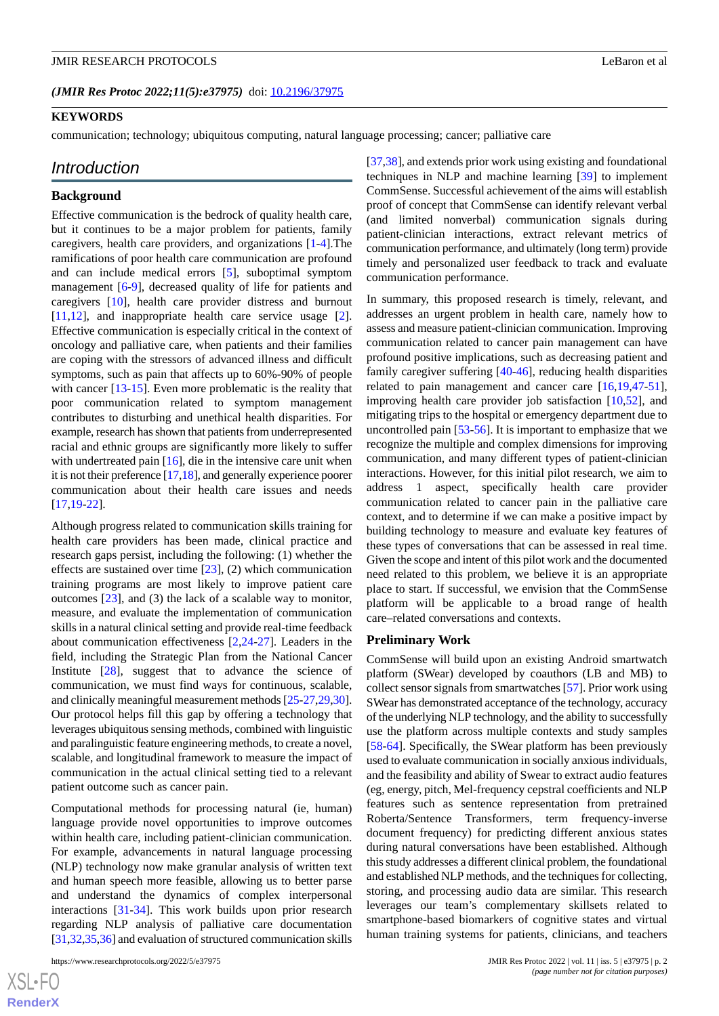#### **KEYWORDS**

communication; technology; ubiquitous computing, natural language processing; cancer; palliative care

#### *Introduction*

#### **Background**

Effective communication is the bedrock of quality health care, but it continues to be a major problem for patients, family caregivers, health care providers, and organizations [[1](#page-5-0)[-4](#page-5-1)].The ramifications of poor health care communication are profound and can include medical errors [[5](#page-5-2)], suboptimal symptom management [[6-](#page-6-0)[9\]](#page-6-1), decreased quality of life for patients and caregivers [[10\]](#page-6-2), health care provider distress and burnout [[11](#page-6-3)[,12](#page-6-4)], and inappropriate health care service usage [[2\]](#page-5-3). Effective communication is especially critical in the context of oncology and palliative care, when patients and their families are coping with the stressors of advanced illness and difficult symptoms, such as pain that affects up to 60%-90% of people with cancer [\[13](#page-6-5)[-15](#page-6-6)]. Even more problematic is the reality that poor communication related to symptom management contributes to disturbing and unethical health disparities. For example, research has shown that patients from underrepresented racial and ethnic groups are significantly more likely to suffer with undertreated pain [[16\]](#page-6-7), die in the intensive care unit when it is not their preference [\[17](#page-6-8),[18](#page-6-9)], and generally experience poorer communication about their health care issues and needs [[17](#page-6-8)[,19](#page-6-10)-[22\]](#page-6-11).

Although progress related to communication skills training for health care providers has been made, clinical practice and research gaps persist, including the following: (1) whether the effects are sustained over time [[23\]](#page-6-12), (2) which communication training programs are most likely to improve patient care outcomes [\[23](#page-6-12)], and (3) the lack of a scalable way to monitor, measure, and evaluate the implementation of communication skills in a natural clinical setting and provide real-time feedback about communication effectiveness [[2,](#page-5-3)[24](#page-6-13)[-27](#page-6-14)]. Leaders in the field, including the Strategic Plan from the National Cancer Institute [\[28](#page-6-15)], suggest that to advance the science of communication, we must find ways for continuous, scalable, and clinically meaningful measurement methods [\[25](#page-6-16)[-27](#page-6-14),[29,](#page-7-0)[30\]](#page-7-1). Our protocol helps fill this gap by offering a technology that leverages ubiquitous sensing methods, combined with linguistic and paralinguistic feature engineering methods, to create a novel, scalable, and longitudinal framework to measure the impact of communication in the actual clinical setting tied to a relevant patient outcome such as cancer pain.

Computational methods for processing natural (ie, human) language provide novel opportunities to improve outcomes within health care, including patient-clinician communication. For example, advancements in natural language processing (NLP) technology now make granular analysis of written text and human speech more feasible, allowing us to better parse and understand the dynamics of complex interpersonal interactions [[31-](#page-7-2)[34\]](#page-7-3). This work builds upon prior research regarding NLP analysis of palliative care documentation [[31,](#page-7-2)[32](#page-7-4)[,35](#page-7-5),[36](#page-7-6)] and evaluation of structured communication skills

[[37](#page-7-7)[,38](#page-7-8)], and extends prior work using existing and foundational techniques in NLP and machine learning [\[39](#page-7-9)] to implement CommSense. Successful achievement of the aims will establish proof of concept that CommSense can identify relevant verbal (and limited nonverbal) communication signals during patient-clinician interactions, extract relevant metrics of communication performance, and ultimately (long term) provide timely and personalized user feedback to track and evaluate communication performance.

In summary, this proposed research is timely, relevant, and addresses an urgent problem in health care, namely how to assess and measure patient-clinician communication. Improving communication related to cancer pain management can have profound positive implications, such as decreasing patient and family caregiver suffering [\[40](#page-7-10)-[46\]](#page-7-11), reducing health disparities related to pain management and cancer care [[16,](#page-6-7)[19](#page-6-10),[47-](#page-7-12)[51\]](#page-7-13), improving health care provider job satisfaction [[10](#page-6-2)[,52](#page-8-0)], and mitigating trips to the hospital or emergency department due to uncontrolled pain [\[53](#page-8-1)-[56\]](#page-8-2). It is important to emphasize that we recognize the multiple and complex dimensions for improving communication, and many different types of patient-clinician interactions. However, for this initial pilot research, we aim to address 1 aspect, specifically health care provider communication related to cancer pain in the palliative care context, and to determine if we can make a positive impact by building technology to measure and evaluate key features of these types of conversations that can be assessed in real time. Given the scope and intent of this pilot work and the documented need related to this problem, we believe it is an appropriate place to start. If successful, we envision that the CommSense platform will be applicable to a broad range of health care–related conversations and contexts.

#### **Preliminary Work**

CommSense will build upon an existing Android smartwatch platform (SWear) developed by coauthors (LB and MB) to collect sensor signals from smartwatches [[57](#page-8-3)]. Prior work using SWear has demonstrated acceptance of the technology, accuracy of the underlying NLP technology, and the ability to successfully use the platform across multiple contexts and study samples [[58](#page-8-4)[-64](#page-8-5)]. Specifically, the SWear platform has been previously used to evaluate communication in socially anxious individuals, and the feasibility and ability of Swear to extract audio features (eg, energy, pitch, Mel-frequency cepstral coefficients and NLP features such as sentence representation from pretrained Roberta/Sentence Transformers, term frequency-inverse document frequency) for predicting different anxious states during natural conversations have been established. Although this study addresses a different clinical problem, the foundational and established NLP methods, and the techniques for collecting, storing, and processing audio data are similar. This research leverages our team's complementary skillsets related to smartphone-based biomarkers of cognitive states and virtual human training systems for patients, clinicians, and teachers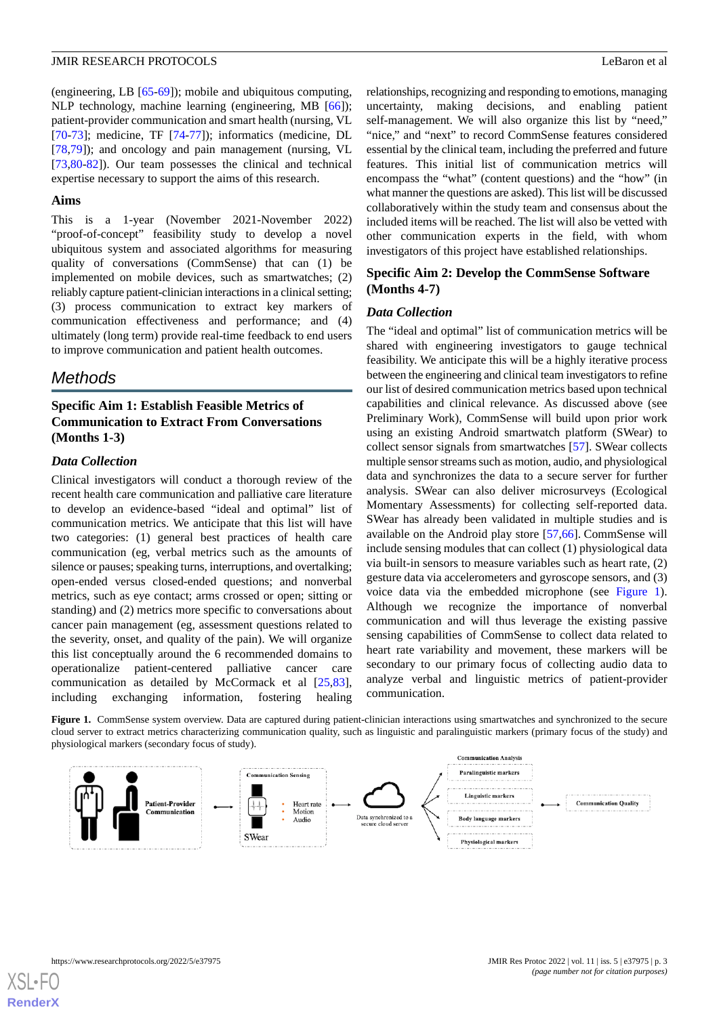(engineering, LB [[65-](#page-8-6)[69\]](#page-8-7)); mobile and ubiquitous computing, NLP technology, machine learning (engineering, MB [\[66](#page-8-8)]); patient-provider communication and smart health (nursing, VL [[70](#page-9-0)[-73](#page-9-1)]; medicine, TF [[74-](#page-9-2)[77\]](#page-9-3)); informatics (medicine, DL [[78](#page-9-4)[,79](#page-9-5)]); and oncology and pain management (nursing, VL [[73](#page-9-1)[,80](#page-9-6)-[82\]](#page-9-7)). Our team possesses the clinical and technical expertise necessary to support the aims of this research.

#### **Aims**

This is a 1-year (November 2021-November 2022) "proof-of-concept" feasibility study to develop a novel ubiquitous system and associated algorithms for measuring quality of conversations (CommSense) that can (1) be implemented on mobile devices, such as smartwatches; (2) reliably capture patient-clinician interactions in a clinical setting; (3) process communication to extract key markers of communication effectiveness and performance; and (4) ultimately (long term) provide real-time feedback to end users to improve communication and patient health outcomes.

# *Methods*

# **Specific Aim 1: Establish Feasible Metrics of Communication to Extract From Conversations (Months 1-3)**

#### *Data Collection*

Clinical investigators will conduct a thorough review of the recent health care communication and palliative care literature to develop an evidence-based "ideal and optimal" list of communication metrics. We anticipate that this list will have two categories: (1) general best practices of health care communication (eg, verbal metrics such as the amounts of silence or pauses; speaking turns, interruptions, and overtalking; open-ended versus closed-ended questions; and nonverbal metrics, such as eye contact; arms crossed or open; sitting or standing) and (2) metrics more specific to conversations about cancer pain management (eg, assessment questions related to the severity, onset, and quality of the pain). We will organize this list conceptually around the 6 recommended domains to operationalize patient-centered palliative cancer care communication as detailed by McCormack et al [\[25](#page-6-16),[83\]](#page-9-8), including exchanging information, fostering healing

relationships, recognizing and responding to emotions, managing uncertainty, making decisions, and enabling patient self-management. We will also organize this list by "need," "nice," and "next" to record CommSense features considered essential by the clinical team, including the preferred and future features. This initial list of communication metrics will encompass the "what" (content questions) and the "how" (in what manner the questions are asked). This list will be discussed collaboratively within the study team and consensus about the included items will be reached. The list will also be vetted with other communication experts in the field, with whom investigators of this project have established relationships.

#### **Specific Aim 2: Develop the CommSense Software (Months 4-7)**

#### *Data Collection*

The "ideal and optimal" list of communication metrics will be shared with engineering investigators to gauge technical feasibility. We anticipate this will be a highly iterative process between the engineering and clinical team investigators to refine our list of desired communication metrics based upon technical capabilities and clinical relevance. As discussed above (see Preliminary Work), CommSense will build upon prior work using an existing Android smartwatch platform (SWear) to collect sensor signals from smartwatches [\[57](#page-8-3)]. SWear collects multiple sensor streams such as motion, audio, and physiological data and synchronizes the data to a secure server for further analysis. SWear can also deliver microsurveys (Ecological Momentary Assessments) for collecting self-reported data. SWear has already been validated in multiple studies and is available on the Android play store [[57](#page-8-3)[,66](#page-8-8)]. CommSense will include sensing modules that can collect (1) physiological data via built-in sensors to measure variables such as heart rate, (2) gesture data via accelerometers and gyroscope sensors, and (3) voice data via the embedded microphone (see [Figure 1\)](#page-2-0). Although we recognize the importance of nonverbal communication and will thus leverage the existing passive sensing capabilities of CommSense to collect data related to heart rate variability and movement, these markers will be secondary to our primary focus of collecting audio data to analyze verbal and linguistic metrics of patient-provider communication.

<span id="page-2-0"></span>Figure 1. CommSense system overview. Data are captured during patient-clinician interactions using smartwatches and synchronized to the secure cloud server to extract metrics characterizing communication quality, such as linguistic and paralinguistic markers (primary focus of the study) and physiological markers (secondary focus of study).

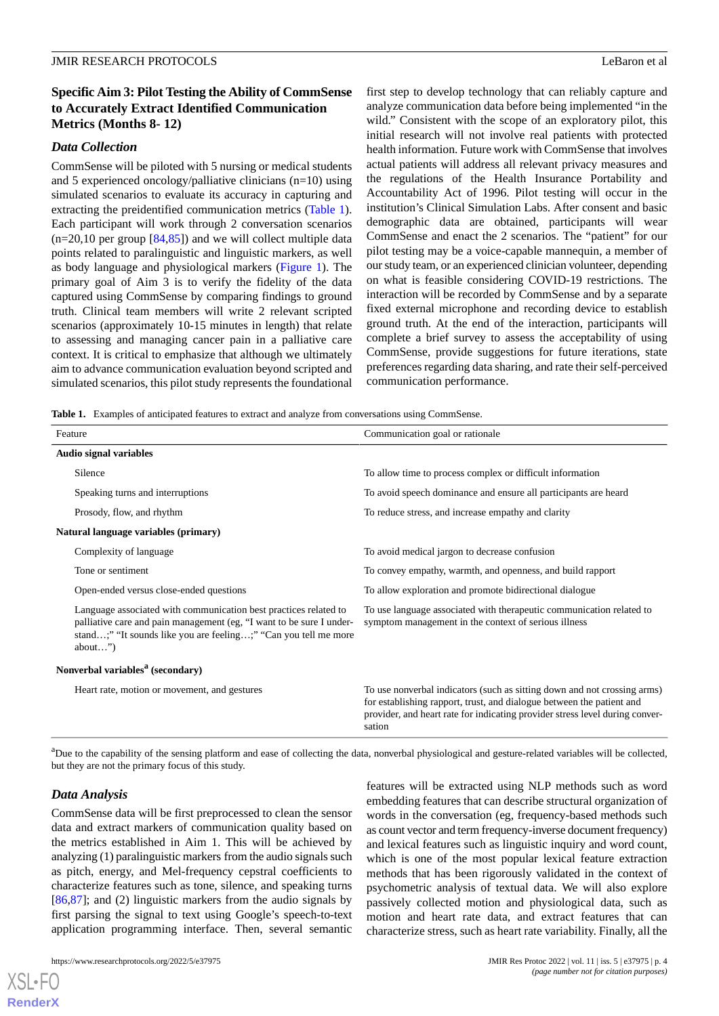# **Specific Aim 3: Pilot Testing the Ability of CommSense to Accurately Extract Identified Communication Metrics (Months 8- 12)**

#### *Data Collection*

CommSense will be piloted with 5 nursing or medical students and 5 experienced oncology/palliative clinicians (n=10) using simulated scenarios to evaluate its accuracy in capturing and extracting the preidentified communication metrics ([Table 1\)](#page-3-0). Each participant will work through 2 conversation scenarios  $(n=20,10$  per group  $[84,85]$  $[84,85]$  $[84,85]$  and we will collect multiple data points related to paralinguistic and linguistic markers, as well as body language and physiological markers [\(Figure 1\)](#page-2-0). The primary goal of Aim 3 is to verify the fidelity of the data captured using CommSense by comparing findings to ground truth. Clinical team members will write 2 relevant scripted scenarios (approximately 10-15 minutes in length) that relate to assessing and managing cancer pain in a palliative care context. It is critical to emphasize that although we ultimately aim to advance communication evaluation beyond scripted and simulated scenarios, this pilot study represents the foundational

first step to develop technology that can reliably capture and analyze communication data before being implemented "in the wild." Consistent with the scope of an exploratory pilot, this initial research will not involve real patients with protected health information. Future work with CommSense that involves actual patients will address all relevant privacy measures and the regulations of the Health Insurance Portability and Accountability Act of 1996. Pilot testing will occur in the institution's Clinical Simulation Labs. After consent and basic demographic data are obtained, participants will wear CommSense and enact the 2 scenarios. The "patient" for our pilot testing may be a voice-capable mannequin, a member of our study team, or an experienced clinician volunteer, depending on what is feasible considering COVID-19 restrictions. The interaction will be recorded by CommSense and by a separate fixed external microphone and recording device to establish ground truth. At the end of the interaction, participants will complete a brief survey to assess the acceptability of using CommSense, provide suggestions for future iterations, state preferences regarding data sharing, and rate their self-perceived communication performance.

<span id="page-3-0"></span>**Table 1.** Examples of anticipated features to extract and analyze from conversations using CommSense.

| Feature                                                                                                                                                                                                                   | Communication goal or rationale                                                                                                                                                                                                             |
|---------------------------------------------------------------------------------------------------------------------------------------------------------------------------------------------------------------------------|---------------------------------------------------------------------------------------------------------------------------------------------------------------------------------------------------------------------------------------------|
| <b>Audio signal variables</b>                                                                                                                                                                                             |                                                                                                                                                                                                                                             |
| Silence                                                                                                                                                                                                                   | To allow time to process complex or difficult information                                                                                                                                                                                   |
| Speaking turns and interruptions                                                                                                                                                                                          | To avoid speech dominance and ensure all participants are heard                                                                                                                                                                             |
| Prosody, flow, and rhythm                                                                                                                                                                                                 | To reduce stress, and increase empathy and clarity                                                                                                                                                                                          |
| Natural language variables (primary)                                                                                                                                                                                      |                                                                                                                                                                                                                                             |
| Complexity of language                                                                                                                                                                                                    | To avoid medical jargon to decrease confusion                                                                                                                                                                                               |
| Tone or sentiment                                                                                                                                                                                                         | To convey empathy, warmth, and openness, and build rapport                                                                                                                                                                                  |
| Open-ended versus close-ended questions                                                                                                                                                                                   | To allow exploration and promote bidirectional dialogue                                                                                                                                                                                     |
| Language associated with communication best practices related to<br>palliative care and pain management (eg, "I want to be sure I under-<br>stand;" "It sounds like you are feeling;" "Can you tell me more<br>$about$ ") | To use language associated with therapeutic communication related to<br>symptom management in the context of serious illness                                                                                                                |
| Nonverbal variables <sup>a</sup> (secondary)                                                                                                                                                                              |                                                                                                                                                                                                                                             |
| Heart rate, motion or movement, and gestures                                                                                                                                                                              | To use nonverbal indicators (such as sitting down and not crossing arms)<br>for establishing rapport, trust, and dialogue between the patient and<br>provider, and heart rate for indicating provider stress level during conver-<br>sation |

<sup>a</sup>Due to the capability of the sensing platform and ease of collecting the data, nonverbal physiological and gesture-related variables will be collected, but they are not the primary focus of this study.

#### *Data Analysis*

[XSL](http://www.w3.org/Style/XSL)•FO **[RenderX](http://www.renderx.com/)**

CommSense data will be first preprocessed to clean the sensor data and extract markers of communication quality based on the metrics established in Aim 1. This will be achieved by analyzing (1) paralinguistic markers from the audio signals such as pitch, energy, and Mel-frequency cepstral coefficients to characterize features such as tone, silence, and speaking turns [[86](#page-9-11)[,87](#page-9-12)]; and (2) linguistic markers from the audio signals by first parsing the signal to text using Google's speech-to-text application programming interface. Then, several semantic

https://www.researchprotocols.org/2022/5/e37975 JMIR Res Protoc 2022 | vol. 11 | iss. 5 | e37975 | p. 4

features will be extracted using NLP methods such as word embedding features that can describe structural organization of words in the conversation (eg, frequency-based methods such as count vector and term frequency-inverse document frequency) and lexical features such as linguistic inquiry and word count, which is one of the most popular lexical feature extraction methods that has been rigorously validated in the context of psychometric analysis of textual data. We will also explore passively collected motion and physiological data, such as motion and heart rate data, and extract features that can characterize stress, such as heart rate variability. Finally, all the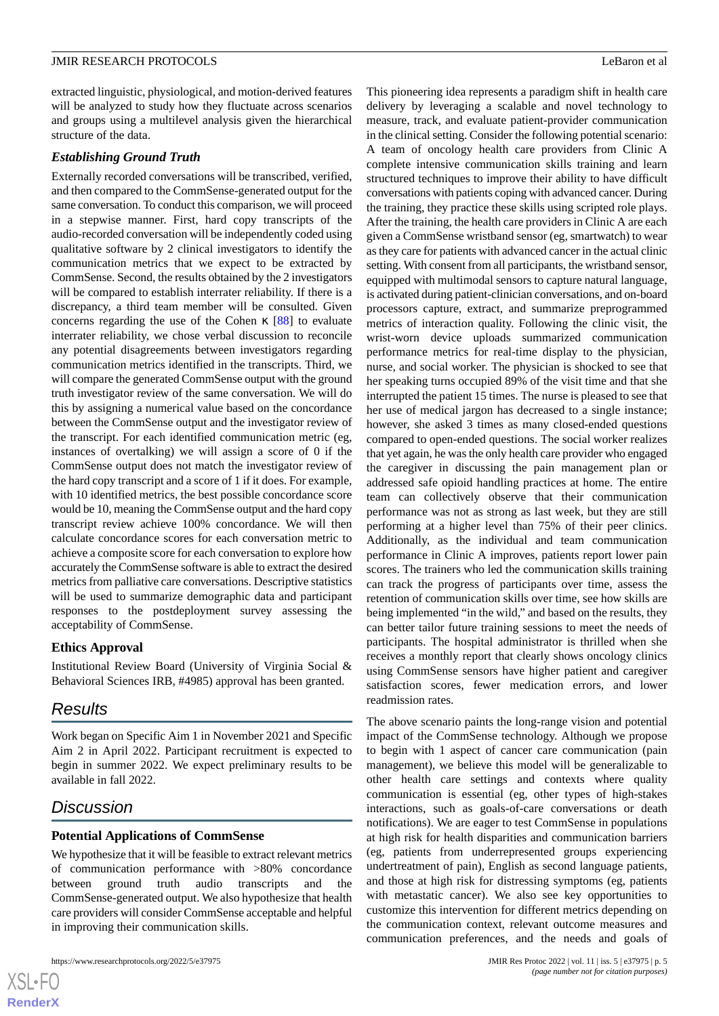extracted linguistic, physiological, and motion-derived features will be analyzed to study how they fluctuate across scenarios and groups using a multilevel analysis given the hierarchical structure of the data.

#### *Establishing Ground Truth*

Externally recorded conversations will be transcribed, verified, and then compared to the CommSense-generated output for the same conversation. To conduct this comparison, we will proceed in a stepwise manner. First, hard copy transcripts of the audio-recorded conversation will be independently coded using qualitative software by 2 clinical investigators to identify the communication metrics that we expect to be extracted by CommSense. Second, the results obtained by the 2 investigators will be compared to establish interrater reliability. If there is a discrepancy, a third team member will be consulted. Given concerns regarding the use of the Cohen  $\kappa$  [[88\]](#page-9-13) to evaluate interrater reliability, we chose verbal discussion to reconcile any potential disagreements between investigators regarding communication metrics identified in the transcripts. Third, we will compare the generated CommSense output with the ground truth investigator review of the same conversation. We will do this by assigning a numerical value based on the concordance between the CommSense output and the investigator review of the transcript. For each identified communication metric (eg, instances of overtalking) we will assign a score of 0 if the CommSense output does not match the investigator review of the hard copy transcript and a score of 1 if it does. For example, with 10 identified metrics, the best possible concordance score would be 10, meaning the CommSense output and the hard copy transcript review achieve 100% concordance. We will then calculate concordance scores for each conversation metric to achieve a composite score for each conversation to explore how accurately the CommSense software is able to extract the desired metrics from palliative care conversations. Descriptive statistics will be used to summarize demographic data and participant responses to the postdeployment survey assessing the acceptability of CommSense.

#### **Ethics Approval**

Institutional Review Board (University of Virginia Social & Behavioral Sciences IRB, #4985) approval has been granted.

# *Results*

Work began on Specific Aim 1 in November 2021 and Specific Aim 2 in April 2022. Participant recruitment is expected to begin in summer 2022. We expect preliminary results to be available in fall 2022.

# *Discussion*

#### **Potential Applications of CommSense**

We hypothesize that it will be feasible to extract relevant metrics of communication performance with >80% concordance between ground truth audio transcripts and the CommSense-generated output. We also hypothesize that health care providers will consider CommSense acceptable and helpful in improving their communication skills.

```
https://www.researchprotocols.org/2022/5/e37975 JMIR Res Protoc 2022 | vol. 11 | iss. 5 | e37975 | p. 5
```
This pioneering idea represents a paradigm shift in health care delivery by leveraging a scalable and novel technology to measure, track, and evaluate patient-provider communication in the clinical setting. Consider the following potential scenario: A team of oncology health care providers from Clinic A complete intensive communication skills training and learn structured techniques to improve their ability to have difficult conversations with patients coping with advanced cancer. During the training, they practice these skills using scripted role plays. After the training, the health care providers in Clinic A are each given a CommSense wristband sensor (eg, smartwatch) to wear as they care for patients with advanced cancer in the actual clinic setting. With consent from all participants, the wristband sensor, equipped with multimodal sensors to capture natural language, is activated during patient-clinician conversations, and on-board processors capture, extract, and summarize preprogrammed metrics of interaction quality. Following the clinic visit, the wrist-worn device uploads summarized communication performance metrics for real-time display to the physician, nurse, and social worker. The physician is shocked to see that her speaking turns occupied 89% of the visit time and that she interrupted the patient 15 times. The nurse is pleased to see that her use of medical jargon has decreased to a single instance; however, she asked 3 times as many closed-ended questions compared to open-ended questions. The social worker realizes that yet again, he was the only health care provider who engaged the caregiver in discussing the pain management plan or addressed safe opioid handling practices at home. The entire team can collectively observe that their communication performance was not as strong as last week, but they are still performing at a higher level than 75% of their peer clinics. Additionally, as the individual and team communication performance in Clinic A improves, patients report lower pain scores. The trainers who led the communication skills training can track the progress of participants over time, assess the retention of communication skills over time, see how skills are being implemented "in the wild," and based on the results, they can better tailor future training sessions to meet the needs of participants. The hospital administrator is thrilled when she receives a monthly report that clearly shows oncology clinics using CommSense sensors have higher patient and caregiver satisfaction scores, fewer medication errors, and lower readmission rates.

The above scenario paints the long-range vision and potential impact of the CommSense technology. Although we propose to begin with 1 aspect of cancer care communication (pain management), we believe this model will be generalizable to other health care settings and contexts where quality communication is essential (eg, other types of high-stakes interactions, such as goals-of-care conversations or death notifications). We are eager to test CommSense in populations at high risk for health disparities and communication barriers (eg, patients from underrepresented groups experiencing undertreatment of pain), English as second language patients, and those at high risk for distressing symptoms (eg, patients with metastatic cancer). We also see key opportunities to customize this intervention for different metrics depending on the communication context, relevant outcome measures and communication preferences, and the needs and goals of

```
XSI - F(RenderX
```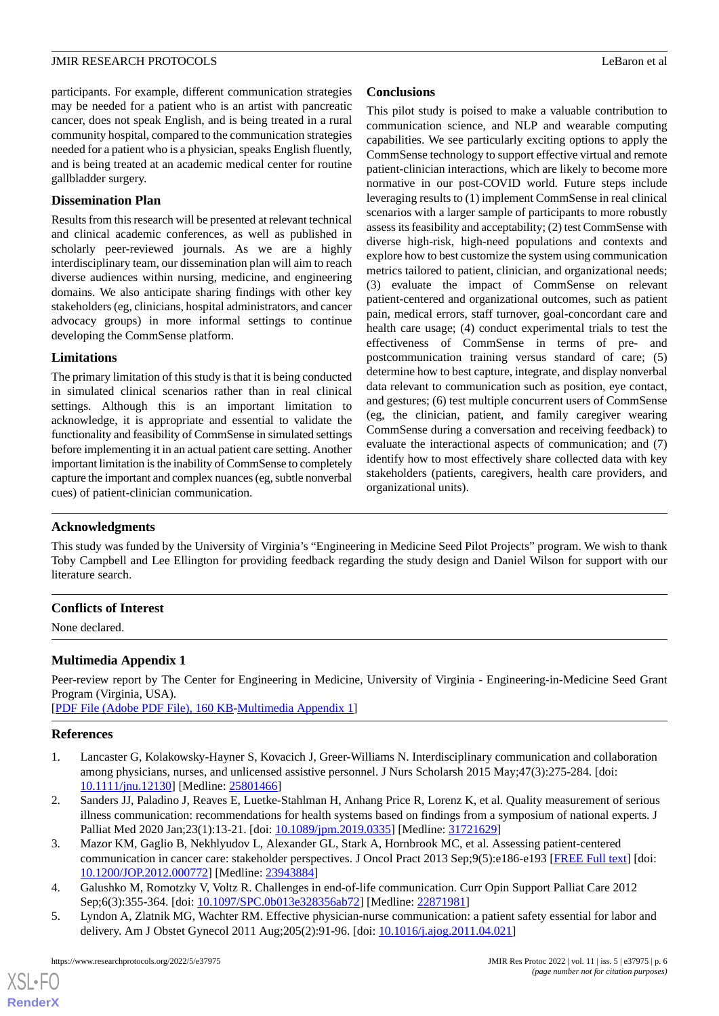participants. For example, different communication strategies may be needed for a patient who is an artist with pancreatic cancer, does not speak English, and is being treated in a rural community hospital, compared to the communication strategies needed for a patient who is a physician, speaks English fluently, and is being treated at an academic medical center for routine gallbladder surgery.

#### **Dissemination Plan**

Results from this research will be presented at relevant technical and clinical academic conferences, as well as published in scholarly peer-reviewed journals. As we are a highly interdisciplinary team, our dissemination plan will aim to reach diverse audiences within nursing, medicine, and engineering domains. We also anticipate sharing findings with other key stakeholders (eg, clinicians, hospital administrators, and cancer advocacy groups) in more informal settings to continue developing the CommSense platform.

#### **Limitations**

The primary limitation of this study is that it is being conducted in simulated clinical scenarios rather than in real clinical settings. Although this is an important limitation to acknowledge, it is appropriate and essential to validate the functionality and feasibility of CommSense in simulated settings before implementing it in an actual patient care setting. Another important limitation is the inability of CommSense to completely capture the important and complex nuances (eg, subtle nonverbal cues) of patient-clinician communication.

### **Conclusions**

This pilot study is poised to make a valuable contribution to communication science, and NLP and wearable computing capabilities. We see particularly exciting options to apply the CommSense technology to support effective virtual and remote patient-clinician interactions, which are likely to become more normative in our post-COVID world. Future steps include leveraging results to (1) implement CommSense in real clinical scenarios with a larger sample of participants to more robustly assess its feasibility and acceptability; (2) test CommSense with diverse high-risk, high-need populations and contexts and explore how to best customize the system using communication metrics tailored to patient, clinician, and organizational needs; (3) evaluate the impact of CommSense on relevant patient-centered and organizational outcomes, such as patient pain, medical errors, staff turnover, goal-concordant care and health care usage; (4) conduct experimental trials to test the effectiveness of CommSense in terms of pre- and postcommunication training versus standard of care; (5) determine how to best capture, integrate, and display nonverbal data relevant to communication such as position, eye contact, and gestures; (6) test multiple concurrent users of CommSense (eg, the clinician, patient, and family caregiver wearing CommSense during a conversation and receiving feedback) to evaluate the interactional aspects of communication; and (7) identify how to most effectively share collected data with key stakeholders (patients, caregivers, health care providers, and organizational units).

# **Acknowledgments**

This study was funded by the University of Virginia's "Engineering in Medicine Seed Pilot Projects" program. We wish to thank Toby Campbell and Lee Ellington for providing feedback regarding the study design and Daniel Wilson for support with our literature search.

# **Conflicts of Interest**

None declared.

# **Multimedia Appendix 1**

<span id="page-5-0"></span>Peer-review report by The Center for Engineering in Medicine, University of Virginia - Engineering-in-Medicine Seed Grant Program (Virginia, USA).

<span id="page-5-3"></span>[[PDF File \(Adobe PDF File\), 160 KB](https://jmir.org/api/download?alt_name=resprot_v11i5e37975_app1.pdf&filename=5490eb4b1a6fded57dab06c942eb079a.pdf)-[Multimedia Appendix 1\]](https://jmir.org/api/download?alt_name=resprot_v11i5e37975_app1.pdf&filename=5490eb4b1a6fded57dab06c942eb079a.pdf)

#### **References**

- 1. Lancaster G, Kolakowsky-Hayner S, Kovacich J, Greer-Williams N. Interdisciplinary communication and collaboration among physicians, nurses, and unlicensed assistive personnel. J Nurs Scholarsh 2015 May;47(3):275-284. [doi: [10.1111/jnu.12130](http://dx.doi.org/10.1111/jnu.12130)] [Medline: [25801466\]](http://www.ncbi.nlm.nih.gov/entrez/query.fcgi?cmd=Retrieve&db=PubMed&list_uids=25801466&dopt=Abstract)
- <span id="page-5-1"></span>2. Sanders JJ, Paladino J, Reaves E, Luetke-Stahlman H, Anhang Price R, Lorenz K, et al. Quality measurement of serious illness communication: recommendations for health systems based on findings from a symposium of national experts. J Palliat Med 2020 Jan;23(1):13-21. [doi: [10.1089/jpm.2019.0335\]](http://dx.doi.org/10.1089/jpm.2019.0335) [Medline: [31721629\]](http://www.ncbi.nlm.nih.gov/entrez/query.fcgi?cmd=Retrieve&db=PubMed&list_uids=31721629&dopt=Abstract)
- <span id="page-5-2"></span>3. Mazor KM, Gaglio B, Nekhlyudov L, Alexander GL, Stark A, Hornbrook MC, et al. Assessing patient-centered communication in cancer care: stakeholder perspectives. J Oncol Pract 2013 Sep;9(5):e186-e193 [[FREE Full text](http://europepmc.org/abstract/MED/23943884)] [doi: [10.1200/JOP.2012.000772](http://dx.doi.org/10.1200/JOP.2012.000772)] [Medline: [23943884](http://www.ncbi.nlm.nih.gov/entrez/query.fcgi?cmd=Retrieve&db=PubMed&list_uids=23943884&dopt=Abstract)]
- 4. Galushko M, Romotzky V, Voltz R. Challenges in end-of-life communication. Curr Opin Support Palliat Care 2012 Sep;6(3):355-364. [doi: [10.1097/SPC.0b013e328356ab72\]](http://dx.doi.org/10.1097/SPC.0b013e328356ab72) [Medline: [22871981\]](http://www.ncbi.nlm.nih.gov/entrez/query.fcgi?cmd=Retrieve&db=PubMed&list_uids=22871981&dopt=Abstract)
- 5. Lyndon A, Zlatnik MG, Wachter RM. Effective physician-nurse communication: a patient safety essential for labor and delivery. Am J Obstet Gynecol 2011 Aug;205(2):91-96. [doi: [10.1016/j.ajog.2011.04.021](http://dx.doi.org/10.1016/j.ajog.2011.04.021)]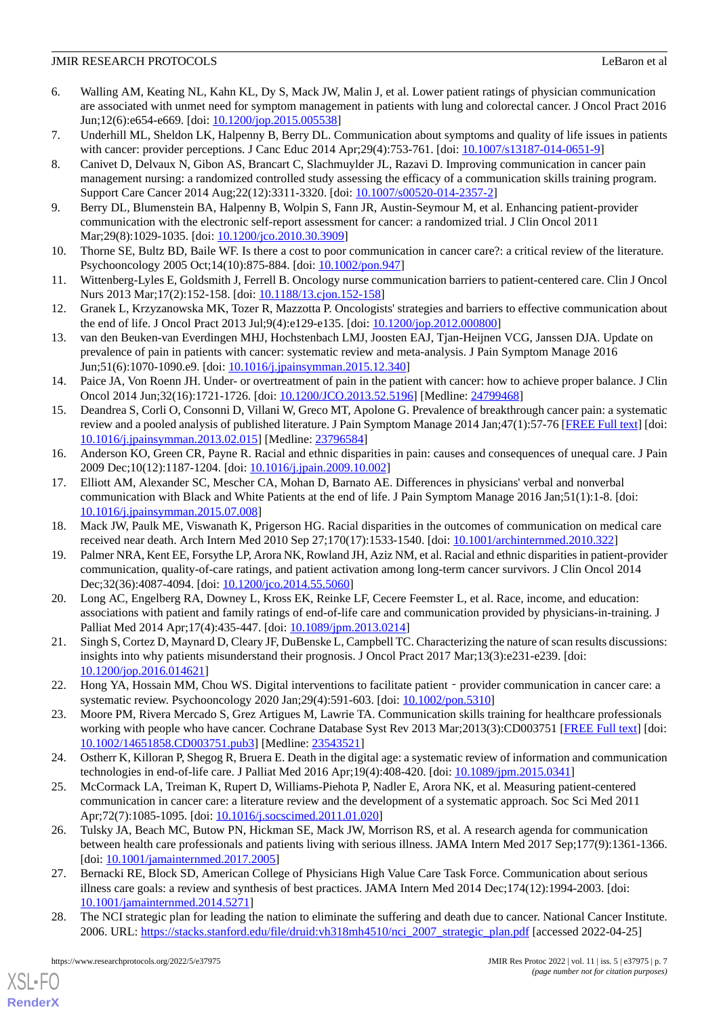- <span id="page-6-0"></span>6. Walling AM, Keating NL, Kahn KL, Dy S, Mack JW, Malin J, et al. Lower patient ratings of physician communication are associated with unmet need for symptom management in patients with lung and colorectal cancer. J Oncol Pract 2016 Jun;12(6):e654-e669. [doi: <u>10.1200/jop.2015.005538</u>]
- 7. Underhill ML, Sheldon LK, Halpenny B, Berry DL. Communication about symptoms and quality of life issues in patients with cancer: provider perceptions. J Canc Educ 2014 Apr;29(4):753-761. [doi:  $10.1007/s13187-014-0651-9$ ]
- 8. Canivet D, Delvaux N, Gibon AS, Brancart C, Slachmuylder JL, Razavi D. Improving communication in cancer pain management nursing: a randomized controlled study assessing the efficacy of a communication skills training program. Support Care Cancer 2014 Aug;22(12):3311-3320. [doi: [10.1007/s00520-014-2357-2\]](http://dx.doi.org/10.1007/s00520-014-2357-2)
- <span id="page-6-2"></span><span id="page-6-1"></span>9. Berry DL, Blumenstein BA, Halpenny B, Wolpin S, Fann JR, Austin-Seymour M, et al. Enhancing patient-provider communication with the electronic self-report assessment for cancer: a randomized trial. J Clin Oncol 2011 Mar; 29(8): 1029-1035. [doi: 10.1200/jco. 2010. 30.3909]
- <span id="page-6-3"></span>10. Thorne SE, Bultz BD, Baile WF. Is there a cost to poor communication in cancer care?: a critical review of the literature. Psychooncology 2005 Oct;14(10):875-884. [doi: [10.1002/pon.947\]](http://dx.doi.org/10.1002/pon.947)
- <span id="page-6-4"></span>11. Wittenberg-Lyles E, Goldsmith J, Ferrell B. Oncology nurse communication barriers to patient-centered care. Clin J Oncol Nurs 2013 Mar;17(2):152-158. [doi: [10.1188/13.cjon.152-158](http://dx.doi.org/10.1188/13.cjon.152-158)]
- <span id="page-6-5"></span>12. Granek L, Krzyzanowska MK, Tozer R, Mazzotta P. Oncologists' strategies and barriers to effective communication about the end of life. J Oncol Pract 2013 Jul;9(4):e129-e135. [doi: [10.1200/jop.2012.000800\]](http://dx.doi.org/10.1200/jop.2012.000800)
- 13. van den Beuken-van Everdingen MHJ, Hochstenbach LMJ, Joosten EAJ, Tjan-Heijnen VCG, Janssen DJA. Update on prevalence of pain in patients with cancer: systematic review and meta-analysis. J Pain Symptom Manage 2016 Jun;51(6):1070-1090.e9. [doi: [10.1016/j.jpainsymman.2015.12.340](http://dx.doi.org/10.1016/j.jpainsymman.2015.12.340)]
- <span id="page-6-6"></span>14. Paice JA, Von Roenn JH. Under- or overtreatment of pain in the patient with cancer: how to achieve proper balance. J Clin Oncol 2014 Jun;32(16):1721-1726. [doi: [10.1200/JCO.2013.52.5196](http://dx.doi.org/10.1200/JCO.2013.52.5196)] [Medline: [24799468](http://www.ncbi.nlm.nih.gov/entrez/query.fcgi?cmd=Retrieve&db=PubMed&list_uids=24799468&dopt=Abstract)]
- <span id="page-6-7"></span>15. Deandrea S, Corli O, Consonni D, Villani W, Greco MT, Apolone G. Prevalence of breakthrough cancer pain: a systematic review and a pooled analysis of published literature. J Pain Symptom Manage 2014 Jan;47(1):57-76 [\[FREE Full text](https://linkinghub.elsevier.com/retrieve/pii/S0885-3924(13)00232-7)] [doi: [10.1016/j.jpainsymman.2013.02.015\]](http://dx.doi.org/10.1016/j.jpainsymman.2013.02.015) [Medline: [23796584](http://www.ncbi.nlm.nih.gov/entrez/query.fcgi?cmd=Retrieve&db=PubMed&list_uids=23796584&dopt=Abstract)]
- <span id="page-6-8"></span>16. Anderson KO, Green CR, Payne R. Racial and ethnic disparities in pain: causes and consequences of unequal care. J Pain 2009 Dec;10(12):1187-1204. [doi: [10.1016/j.jpain.2009.10.002](http://dx.doi.org/10.1016/j.jpain.2009.10.002)]
- <span id="page-6-10"></span><span id="page-6-9"></span>17. Elliott AM, Alexander SC, Mescher CA, Mohan D, Barnato AE. Differences in physicians' verbal and nonverbal communication with Black and White Patients at the end of life. J Pain Symptom Manage 2016 Jan;51(1):1-8. [doi: [10.1016/j.jpainsymman.2015.07.008\]](http://dx.doi.org/10.1016/j.jpainsymman.2015.07.008)
- 18. Mack JW, Paulk ME, Viswanath K, Prigerson HG. Racial disparities in the outcomes of communication on medical care received near death. Arch Intern Med 2010 Sep 27;170(17):1533-1540. [doi: [10.1001/archinternmed.2010.322](http://dx.doi.org/10.1001/archinternmed.2010.322)]
- 19. Palmer NRA, Kent EE, Forsythe LP, Arora NK, Rowland JH, Aziz NM, et al. Racial and ethnic disparities in patient-provider communication, quality-of-care ratings, and patient activation among long-term cancer survivors. J Clin Oncol 2014 Dec; 32(36): 4087-4094. [doi: 10.1200/jco. 2014. 55. 5060]
- <span id="page-6-11"></span>20. Long AC, Engelberg RA, Downey L, Kross EK, Reinke LF, Cecere Feemster L, et al. Race, income, and education: associations with patient and family ratings of end-of-life care and communication provided by physicians-in-training. J Palliat Med 2014 Apr;17(4):435-447. [doi: [10.1089/jpm.2013.0214](http://dx.doi.org/10.1089/jpm.2013.0214)]
- <span id="page-6-12"></span>21. Singh S, Cortez D, Maynard D, Cleary JF, DuBenske L, Campbell TC. Characterizing the nature of scan results discussions: insights into why patients misunderstand their prognosis. J Oncol Pract 2017 Mar;13(3):e231-e239. [doi: [10.1200/jop.2016.014621\]](http://dx.doi.org/10.1200/jop.2016.014621)
- <span id="page-6-13"></span>22. Hong YA, Hossain MM, Chou WS. Digital interventions to facilitate patient – provider communication in cancer care: a systematic review. Psychooncology 2020 Jan;29(4):591-603. [doi: [10.1002/pon.5310](http://dx.doi.org/10.1002/pon.5310)]
- <span id="page-6-16"></span>23. Moore PM, Rivera Mercado S, Grez Artigues M, Lawrie TA. Communication skills training for healthcare professionals working with people who have cancer. Cochrane Database Syst Rev 2013 Mar;2013(3):CD003751 [\[FREE Full text\]](http://europepmc.org/abstract/MED/23543521) [doi: [10.1002/14651858.CD003751.pub3\]](http://dx.doi.org/10.1002/14651858.CD003751.pub3) [Medline: [23543521](http://www.ncbi.nlm.nih.gov/entrez/query.fcgi?cmd=Retrieve&db=PubMed&list_uids=23543521&dopt=Abstract)]
- 24. Ostherr K, Killoran P, Shegog R, Bruera E. Death in the digital age: a systematic review of information and communication technologies in end-of-life care. J Palliat Med 2016 Apr;19(4):408-420. [doi: [10.1089/jpm.2015.0341\]](http://dx.doi.org/10.1089/jpm.2015.0341)
- <span id="page-6-14"></span>25. McCormack LA, Treiman K, Rupert D, Williams-Piehota P, Nadler E, Arora NK, et al. Measuring patient-centered communication in cancer care: a literature review and the development of a systematic approach. Soc Sci Med 2011 Apr;72(7):1085-1095. [doi: [10.1016/j.socscimed.2011.01.020\]](http://dx.doi.org/10.1016/j.socscimed.2011.01.020)
- <span id="page-6-15"></span>26. Tulsky JA, Beach MC, Butow PN, Hickman SE, Mack JW, Morrison RS, et al. A research agenda for communication between health care professionals and patients living with serious illness. JAMA Intern Med 2017 Sep;177(9):1361-1366. [doi: [10.1001/jamainternmed.2017.2005](http://dx.doi.org/10.1001/jamainternmed.2017.2005)]
- 27. Bernacki RE, Block SD, American College of Physicians High Value Care Task Force. Communication about serious illness care goals: a review and synthesis of best practices. JAMA Intern Med 2014 Dec;174(12):1994-2003. [doi: [10.1001/jamainternmed.2014.5271\]](http://dx.doi.org/10.1001/jamainternmed.2014.5271)
- 28. The NCI strategic plan for leading the nation to eliminate the suffering and death due to cancer. National Cancer Institute. 2006. URL: [https://stacks.stanford.edu/file/druid:vh318mh4510/nci\\_2007\\_strategic\\_plan.pdf](https://stacks.stanford.edu/file/druid:vh318mh4510/nci_2007_strategic_plan.pdf) [accessed 2022-04-25]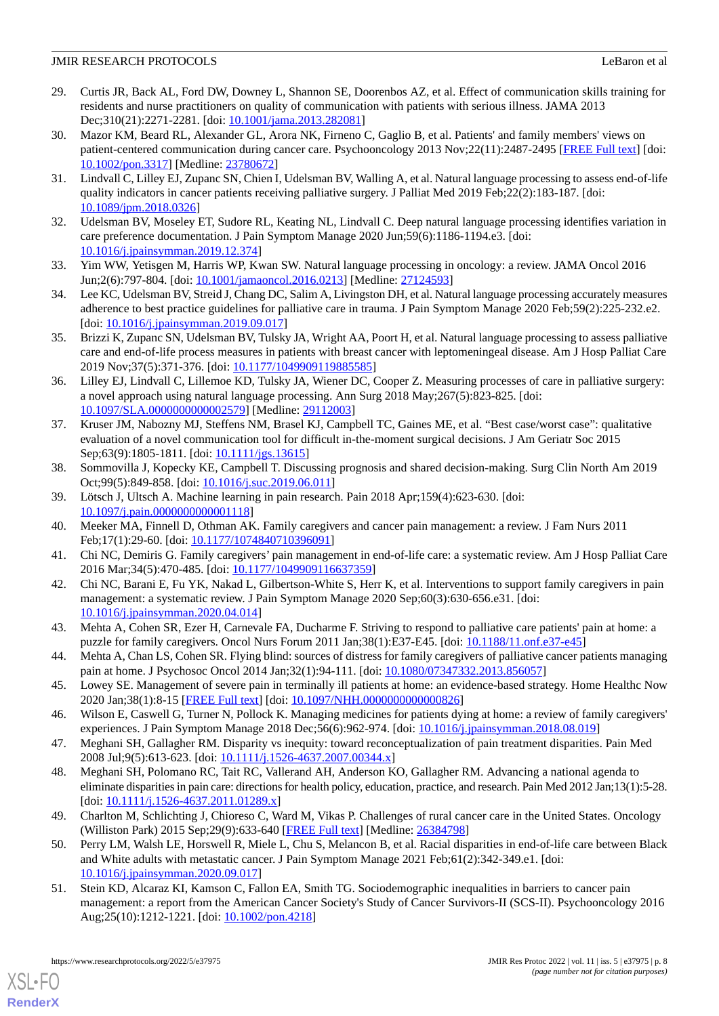- <span id="page-7-0"></span>29. Curtis JR, Back AL, Ford DW, Downey L, Shannon SE, Doorenbos AZ, et al. Effect of communication skills training for residents and nurse practitioners on quality of communication with patients with serious illness. JAMA 2013 Dec;310(21):2271-2281. [doi: [10.1001/jama.2013.282081](http://dx.doi.org/10.1001/jama.2013.282081)]
- <span id="page-7-1"></span>30. Mazor KM, Beard RL, Alexander GL, Arora NK, Firneno C, Gaglio B, et al. Patients' and family members' views on patient-centered communication during cancer care. Psychooncology 2013 Nov;22(11):2487-2495 [[FREE Full text\]](http://europepmc.org/abstract/MED/23780672) [doi: [10.1002/pon.3317](http://dx.doi.org/10.1002/pon.3317)] [Medline: [23780672](http://www.ncbi.nlm.nih.gov/entrez/query.fcgi?cmd=Retrieve&db=PubMed&list_uids=23780672&dopt=Abstract)]
- <span id="page-7-4"></span><span id="page-7-2"></span>31. Lindvall C, Lilley EJ, Zupanc SN, Chien I, Udelsman BV, Walling A, et al. Natural language processing to assess end-of-life quality indicators in cancer patients receiving palliative surgery. J Palliat Med 2019 Feb;22(2):183-187. [doi: [10.1089/jpm.2018.0326](http://dx.doi.org/10.1089/jpm.2018.0326)]
- 32. Udelsman BV, Moseley ET, Sudore RL, Keating NL, Lindvall C. Deep natural language processing identifies variation in care preference documentation. J Pain Symptom Manage 2020 Jun;59(6):1186-1194.e3. [doi: [10.1016/j.jpainsymman.2019.12.374\]](http://dx.doi.org/10.1016/j.jpainsymman.2019.12.374)
- <span id="page-7-3"></span>33. Yim WW, Yetisgen M, Harris WP, Kwan SW. Natural language processing in oncology: a review. JAMA Oncol 2016 Jun;2(6):797-804. [doi: [10.1001/jamaoncol.2016.0213](http://dx.doi.org/10.1001/jamaoncol.2016.0213)] [Medline: [27124593](http://www.ncbi.nlm.nih.gov/entrez/query.fcgi?cmd=Retrieve&db=PubMed&list_uids=27124593&dopt=Abstract)]
- <span id="page-7-5"></span>34. Lee KC, Udelsman BV, Streid J, Chang DC, Salim A, Livingston DH, et al. Natural language processing accurately measures adherence to best practice guidelines for palliative care in trauma. J Pain Symptom Manage 2020 Feb;59(2):225-232.e2. [doi: [10.1016/j.jpainsymman.2019.09.017\]](http://dx.doi.org/10.1016/j.jpainsymman.2019.09.017)
- <span id="page-7-6"></span>35. Brizzi K, Zupanc SN, Udelsman BV, Tulsky JA, Wright AA, Poort H, et al. Natural language processing to assess palliative care and end-of-life process measures in patients with breast cancer with leptomeningeal disease. Am J Hosp Palliat Care 2019 Nov; 37(5): 371 - 376. [doi: [10.1177/1049909119885585](http://dx.doi.org/10.1177/1049909119885585)]
- <span id="page-7-7"></span>36. Lilley EJ, Lindvall C, Lillemoe KD, Tulsky JA, Wiener DC, Cooper Z. Measuring processes of care in palliative surgery: a novel approach using natural language processing. Ann Surg 2018 May;267(5):823-825. [doi: [10.1097/SLA.0000000000002579](http://dx.doi.org/10.1097/SLA.0000000000002579)] [Medline: [29112003\]](http://www.ncbi.nlm.nih.gov/entrez/query.fcgi?cmd=Retrieve&db=PubMed&list_uids=29112003&dopt=Abstract)
- <span id="page-7-8"></span>37. Kruser JM, Nabozny MJ, Steffens NM, Brasel KJ, Campbell TC, Gaines ME, et al. "Best case/worst case": qualitative evaluation of a novel communication tool for difficult in-the-moment surgical decisions. J Am Geriatr Soc 2015 Sep;63(9):1805-1811. [doi: [10.1111/jgs.13615\]](http://dx.doi.org/10.1111/jgs.13615)
- <span id="page-7-10"></span><span id="page-7-9"></span>38. Sommovilla J, Kopecky KE, Campbell T. Discussing prognosis and shared decision-making. Surg Clin North Am 2019 Oct;99(5):849-858. [doi: [10.1016/j.suc.2019.06.011](http://dx.doi.org/10.1016/j.suc.2019.06.011)]
- 39. Lötsch J, Ultsch A. Machine learning in pain research. Pain 2018 Apr;159(4):623-630. [doi: [10.1097/j.pain.0000000000001118\]](http://dx.doi.org/10.1097/j.pain.0000000000001118)
- 40. Meeker MA, Finnell D, Othman AK. Family caregivers and cancer pain management: a review. J Fam Nurs 2011 Feb;17(1):29-60. [doi: [10.1177/1074840710396091\]](http://dx.doi.org/10.1177/1074840710396091)
- 41. Chi NC, Demiris G. Family caregivers' pain management in end-of-life care: a systematic review. Am J Hosp Palliat Care 2016 Mar;34(5):470-485. [doi: [10.1177/1049909116637359\]](http://dx.doi.org/10.1177/1049909116637359)
- 42. Chi NC, Barani E, Fu YK, Nakad L, Gilbertson-White S, Herr K, et al. Interventions to support family caregivers in pain management: a systematic review. J Pain Symptom Manage 2020 Sep;60(3):630-656.e31. [doi: [10.1016/j.jpainsymman.2020.04.014\]](http://dx.doi.org/10.1016/j.jpainsymman.2020.04.014)
- 43. Mehta A, Cohen SR, Ezer H, Carnevale FA, Ducharme F. Striving to respond to palliative care patients' pain at home: a puzzle for family caregivers. Oncol Nurs Forum 2011 Jan;38(1):E37-E45. [doi: [10.1188/11.onf.e37-e45](http://dx.doi.org/10.1188/11.onf.e37-e45)]
- <span id="page-7-12"></span><span id="page-7-11"></span>44. Mehta A, Chan LS, Cohen SR. Flying blind: sources of distress for family caregivers of palliative cancer patients managing pain at home. J Psychosoc Oncol 2014 Jan;32(1):94-111. [doi: [10.1080/07347332.2013.856057](http://dx.doi.org/10.1080/07347332.2013.856057)]
- 45. Lowey SE. Management of severe pain in terminally ill patients at home: an evidence-based strategy. Home Healthc Now 2020 Jan;38(1):8-15 [[FREE Full text](https://journals.lww.com/homehealthcarenurseonline/Fulltext/2020/01000/Management_of_Severe_Pain_in_Terminally_Ill.2.aspx)] [doi: [10.1097/NHH.0000000000000826\]](http://dx.doi.org/10.1097/NHH.0000000000000826)
- 46. Wilson E, Caswell G, Turner N, Pollock K. Managing medicines for patients dying at home: a review of family caregivers' experiences. J Pain Symptom Manage 2018 Dec;56(6):962-974. [doi: [10.1016/j.jpainsymman.2018.08.019\]](http://dx.doi.org/10.1016/j.jpainsymman.2018.08.019)
- 47. Meghani SH, Gallagher RM. Disparity vs inequity: toward reconceptualization of pain treatment disparities. Pain Med 2008 Jul;9(5):613-623. [doi: [10.1111/j.1526-4637.2007.00344.x](http://dx.doi.org/10.1111/j.1526-4637.2007.00344.x)]
- 48. Meghani SH, Polomano RC, Tait RC, Vallerand AH, Anderson KO, Gallagher RM. Advancing a national agenda to eliminate disparities in pain care: directions for health policy, education, practice, and research. Pain Med 2012 Jan;13(1):5-28. [doi: [10.1111/j.1526-4637.2011.01289.x](http://dx.doi.org/10.1111/j.1526-4637.2011.01289.x)]
- <span id="page-7-13"></span>49. Charlton M, Schlichting J, Chioreso C, Ward M, Vikas P. Challenges of rural cancer care in the United States. Oncology (Williston Park) 2015 Sep;29(9):633-640 [\[FREE Full text\]](http://www.cancernetwork.com/oncology-journal/challenges-rural-cancer-care-united-states) [Medline: [26384798](http://www.ncbi.nlm.nih.gov/entrez/query.fcgi?cmd=Retrieve&db=PubMed&list_uids=26384798&dopt=Abstract)]
- 50. Perry LM, Walsh LE, Horswell R, Miele L, Chu S, Melancon B, et al. Racial disparities in end-of-life care between Black and White adults with metastatic cancer. J Pain Symptom Manage 2021 Feb;61(2):342-349.e1. [doi: [10.1016/j.jpainsymman.2020.09.017\]](http://dx.doi.org/10.1016/j.jpainsymman.2020.09.017)
- 51. Stein KD, Alcaraz KI, Kamson C, Fallon EA, Smith TG. Sociodemographic inequalities in barriers to cancer pain management: a report from the American Cancer Society's Study of Cancer Survivors-II (SCS-II). Psychooncology 2016 Aug;25(10):1212-1221. [doi: [10.1002/pon.4218](http://dx.doi.org/10.1002/pon.4218)]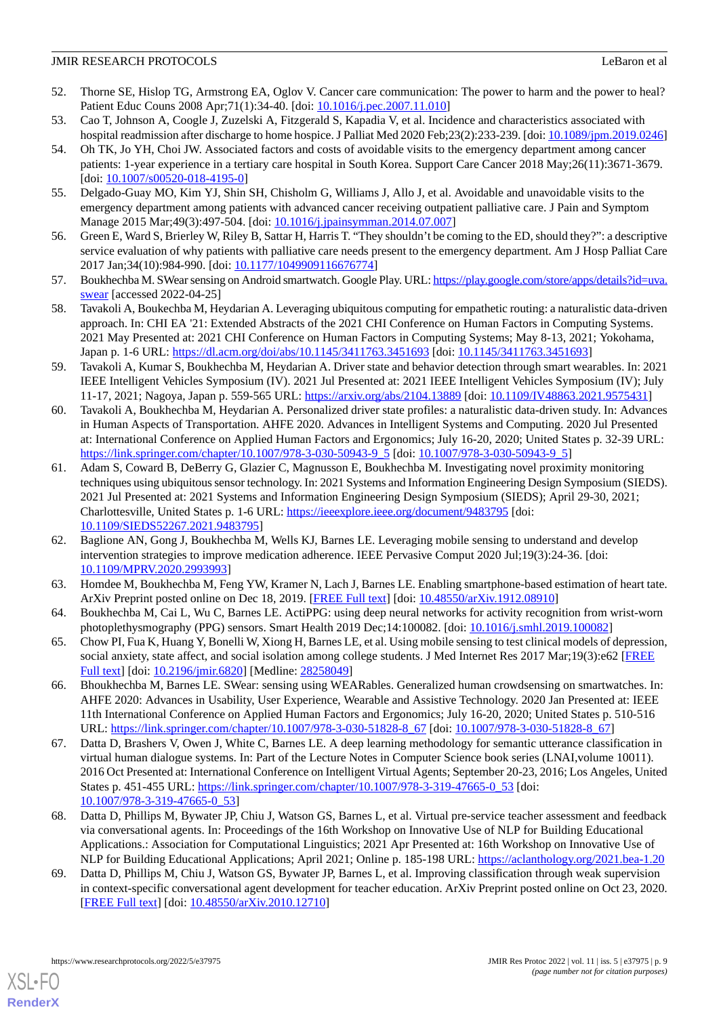- <span id="page-8-0"></span>52. Thorne SE, Hislop TG, Armstrong EA, Oglov V. Cancer care communication: The power to harm and the power to heal? Patient Educ Couns 2008 Apr; 71(1): 34-40. [doi: 10.1016/j.pec. 2007.11.010]
- <span id="page-8-1"></span>53. Cao T, Johnson A, Coogle J, Zuzelski A, Fitzgerald S, Kapadia V, et al. Incidence and characteristics associated with hospital readmission after discharge to home hospice. J Palliat Med 2020 Feb;23(2):233-239. [doi: [10.1089/jpm.2019.0246\]](http://dx.doi.org/10.1089/jpm.2019.0246)
- 54. Oh TK, Jo YH, Choi JW. Associated factors and costs of avoidable visits to the emergency department among cancer patients: 1-year experience in a tertiary care hospital in South Korea. Support Care Cancer 2018 May;26(11):3671-3679. [doi: [10.1007/s00520-018-4195-0](http://dx.doi.org/10.1007/s00520-018-4195-0)]
- <span id="page-8-2"></span>55. Delgado-Guay MO, Kim YJ, Shin SH, Chisholm G, Williams J, Allo J, et al. Avoidable and unavoidable visits to the emergency department among patients with advanced cancer receiving outpatient palliative care. J Pain and Symptom Manage 2015 Mar;49(3):497-504. [doi: [10.1016/j.jpainsymman.2014.07.007](http://dx.doi.org/10.1016/j.jpainsymman.2014.07.007)]
- <span id="page-8-3"></span>56. Green E, Ward S, Brierley W, Riley B, Sattar H, Harris T. "They shouldn't be coming to the ED, should they?": a descriptive service evaluation of why patients with palliative care needs present to the emergency department. Am J Hosp Palliat Care 2017 Jan;34(10):984-990. [doi: [10.1177/1049909116676774\]](http://dx.doi.org/10.1177/1049909116676774)
- <span id="page-8-4"></span>57. Boukhechba M. SWear sensing on Android smartwatch. Google Play. URL: [https://play.google.com/store/apps/details?id=uva.](https://play.google.com/store/apps/details?id=uva.swear) [swear](https://play.google.com/store/apps/details?id=uva.swear) [accessed 2022-04-25]
- 58. Tavakoli A, Boukechba M, Heydarian A. Leveraging ubiquitous computing for empathetic routing: a naturalistic data-driven approach. In: CHI EA '21: Extended Abstracts of the 2021 CHI Conference on Human Factors in Computing Systems. 2021 May Presented at: 2021 CHI Conference on Human Factors in Computing Systems; May 8-13, 2021; Yokohama, Japan p. 1-6 URL: <https://dl.acm.org/doi/abs/10.1145/3411763.3451693> [doi: [10.1145/3411763.3451693](http://dx.doi.org/10.1145/3411763.3451693)]
- 59. Tavakoli A, Kumar S, Boukhechba M, Heydarian A. Driver state and behavior detection through smart wearables. In: 2021 IEEE Intelligent Vehicles Symposium (IV). 2021 Jul Presented at: 2021 IEEE Intelligent Vehicles Symposium (IV); July 11-17, 2021; Nagoya, Japan p. 559-565 URL:<https://arxiv.org/abs/2104.13889> [doi: [10.1109/IV48863.2021.9575431\]](http://dx.doi.org/10.1109/IV48863.2021.9575431)
- 60. Tavakoli A, Boukhechba M, Heydarian A. Personalized driver state profiles: a naturalistic data-driven study. In: Advances in Human Aspects of Transportation. AHFE 2020. Advances in Intelligent Systems and Computing. 2020 Jul Presented at: International Conference on Applied Human Factors and Ergonomics; July 16-20, 2020; United States p. 32-39 URL: [https://link.springer.com/chapter/10.1007/978-3-030-50943-9\\_5](https://link.springer.com/chapter/10.1007/978-3-030-50943-9_5) [doi: [10.1007/978-3-030-50943-9\\_5](http://dx.doi.org/10.1007/978-3-030-50943-9_5)]
- 61. Adam S, Coward B, DeBerry G, Glazier C, Magnusson E, Boukhechba M. Investigating novel proximity monitoring techniques using ubiquitous sensor technology. In: 2021 Systems and Information Engineering Design Symposium (SIEDS). 2021 Jul Presented at: 2021 Systems and Information Engineering Design Symposium (SIEDS); April 29-30, 2021; Charlottesville, United States p. 1-6 URL: <https://ieeexplore.ieee.org/document/9483795> [doi: [10.1109/SIEDS52267.2021.9483795\]](http://dx.doi.org/10.1109/SIEDS52267.2021.9483795)
- <span id="page-8-5"></span>62. Baglione AN, Gong J, Boukhechba M, Wells KJ, Barnes LE. Leveraging mobile sensing to understand and develop intervention strategies to improve medication adherence. IEEE Pervasive Comput 2020 Jul;19(3):24-36. [doi: [10.1109/MPRV.2020.2993993](http://dx.doi.org/10.1109/MPRV.2020.2993993)]
- <span id="page-8-6"></span>63. Homdee M, Boukhechba M, Feng YW, Kramer N, Lach J, Barnes LE. Enabling smartphone-based estimation of heart tate. ArXiv Preprint posted online on Dec 18, 2019. [[FREE Full text](https://arxiv.org/abs/1912.08910)] [doi: [10.48550/arXiv.1912.08910](http://dx.doi.org/10.48550/arXiv.1912.08910)]
- <span id="page-8-8"></span>64. Boukhechba M, Cai L, Wu C, Barnes LE. ActiPPG: using deep neural networks for activity recognition from wrist-worn photoplethysmography (PPG) sensors. Smart Health 2019 Dec;14:100082. [doi: [10.1016/j.smhl.2019.100082](http://dx.doi.org/10.1016/j.smhl.2019.100082)]
- 65. Chow PI, Fua K, Huang Y, Bonelli W, Xiong H, Barnes LE, et al. Using mobile sensing to test clinical models of depression, social anxiety, state affect, and social isolation among college students. J Med Internet Res 2017 Mar;19(3):e62 [[FREE](https://www.jmir.org/2017/3/e62/) [Full text\]](https://www.jmir.org/2017/3/e62/) [doi: [10.2196/jmir.6820](http://dx.doi.org/10.2196/jmir.6820)] [Medline: [28258049\]](http://www.ncbi.nlm.nih.gov/entrez/query.fcgi?cmd=Retrieve&db=PubMed&list_uids=28258049&dopt=Abstract)
- 66. Bhoukhechba M, Barnes LE. SWear: sensing using WEARables. Generalized human crowdsensing on smartwatches. In: AHFE 2020: Advances in Usability, User Experience, Wearable and Assistive Technology. 2020 Jan Presented at: IEEE 11th International Conference on Applied Human Factors and Ergonomics; July 16-20, 2020; United States p. 510-516 URL: [https://link.springer.com/chapter/10.1007/978-3-030-51828-8\\_67](https://link.springer.com/chapter/10.1007/978-3-030-51828-8_67) [doi: [10.1007/978-3-030-51828-8\\_67\]](http://dx.doi.org/10.1007/978-3-030-51828-8_67)
- 67. Datta D, Brashers V, Owen J, White C, Barnes LE. A deep learning methodology for semantic utterance classification in virtual human dialogue systems. In: Part of the Lecture Notes in Computer Science book series (LNAI,volume 10011). 2016 Oct Presented at: International Conference on Intelligent Virtual Agents; September 20-23, 2016; Los Angeles, United States p. 451-455 URL: [https://link.springer.com/chapter/10.1007/978-3-319-47665-0\\_53](https://link.springer.com/chapter/10.1007/978-3-319-47665-0_53) [doi: [10.1007/978-3-319-47665-0\\_53](http://dx.doi.org/10.1007/978-3-319-47665-0_53)]
- <span id="page-8-7"></span>68. Datta D, Phillips M, Bywater JP, Chiu J, Watson GS, Barnes L, et al. Virtual pre-service teacher assessment and feedback via conversational agents. In: Proceedings of the 16th Workshop on Innovative Use of NLP for Building Educational Applications.: Association for Computational Linguistics; 2021 Apr Presented at: 16th Workshop on Innovative Use of NLP for Building Educational Applications; April 2021; Online p. 185-198 URL: <https://aclanthology.org/2021.bea-1.20>
- 69. Datta D, Phillips M, Chiu J, Watson GS, Bywater JP, Barnes L, et al. Improving classification through weak supervision in context-specific conversational agent development for teacher education. ArXiv Preprint posted online on Oct 23, 2020. [[FREE Full text](http://arxiv.org/abs/2010.12710)] [doi: [10.48550/arXiv.2010.12710\]](http://dx.doi.org/10.48550/arXiv.2010.12710)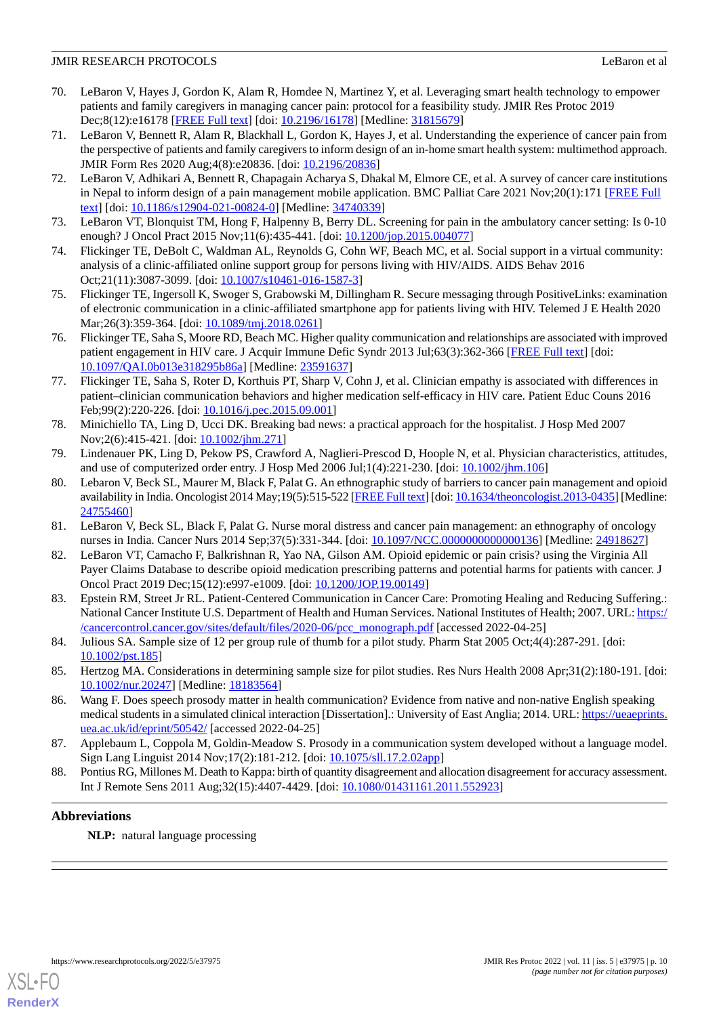- <span id="page-9-0"></span>70. LeBaron V, Hayes J, Gordon K, Alam R, Homdee N, Martinez Y, et al. Leveraging smart health technology to empower patients and family caregivers in managing cancer pain: protocol for a feasibility study. JMIR Res Protoc 2019 Dec;8(12):e16178 [\[FREE Full text\]](https://www.researchprotocols.org/2019/12/e16178/) [doi: [10.2196/16178](http://dx.doi.org/10.2196/16178)] [Medline: [31815679\]](http://www.ncbi.nlm.nih.gov/entrez/query.fcgi?cmd=Retrieve&db=PubMed&list_uids=31815679&dopt=Abstract)
- 71. LeBaron V, Bennett R, Alam R, Blackhall L, Gordon K, Hayes J, et al. Understanding the experience of cancer pain from the perspective of patients and family caregivers to inform design of an in-home smart health system: multimethod approach. JMIR Form Res 2020 Aug;4(8):e20836. [doi: [10.2196/20836](http://dx.doi.org/10.2196/20836)]
- <span id="page-9-1"></span>72. LeBaron V, Adhikari A, Bennett R, Chapagain Acharya S, Dhakal M, Elmore CE, et al. A survey of cancer care institutions in Nepal to inform design of a pain management mobile application. BMC Palliat Care 2021 Nov;20(1):171 [\[FREE Full](https://bmcpalliatcare.biomedcentral.com/articles/10.1186/s12904-021-00824-0) [text](https://bmcpalliatcare.biomedcentral.com/articles/10.1186/s12904-021-00824-0)] [doi: [10.1186/s12904-021-00824-0\]](http://dx.doi.org/10.1186/s12904-021-00824-0) [Medline: [34740339\]](http://www.ncbi.nlm.nih.gov/entrez/query.fcgi?cmd=Retrieve&db=PubMed&list_uids=34740339&dopt=Abstract)
- <span id="page-9-2"></span>73. LeBaron VT, Blonquist TM, Hong F, Halpenny B, Berry DL. Screening for pain in the ambulatory cancer setting: Is 0-10 enough? J Oncol Pract 2015 Nov;11(6):435-441. [doi: [10.1200/jop.2015.004077\]](http://dx.doi.org/10.1200/jop.2015.004077)
- 74. Flickinger TE, DeBolt C, Waldman AL, Reynolds G, Cohn WF, Beach MC, et al. Social support in a virtual community: analysis of a clinic-affiliated online support group for persons living with HIV/AIDS. AIDS Behav 2016 Oct;21(11):3087-3099. [doi: [10.1007/s10461-016-1587-3](http://dx.doi.org/10.1007/s10461-016-1587-3)]
- 75. Flickinger TE, Ingersoll K, Swoger S, Grabowski M, Dillingham R. Secure messaging through PositiveLinks: examination of electronic communication in a clinic-affiliated smartphone app for patients living with HIV. Telemed J E Health 2020 Mar;26(3):359-364. [doi: [10.1089/tmj.2018.0261\]](http://dx.doi.org/10.1089/tmj.2018.0261)
- <span id="page-9-3"></span>76. Flickinger TE, Saha S, Moore RD, Beach MC. Higher quality communication and relationships are associated with improved patient engagement in HIV care. J Acquir Immune Defic Syndr 2013 Jul;63(3):362-366 [\[FREE Full text\]](http://europepmc.org/abstract/MED/23591637) [doi: [10.1097/QAI.0b013e318295b86a\]](http://dx.doi.org/10.1097/QAI.0b013e318295b86a) [Medline: [23591637\]](http://www.ncbi.nlm.nih.gov/entrez/query.fcgi?cmd=Retrieve&db=PubMed&list_uids=23591637&dopt=Abstract)
- <span id="page-9-4"></span>77. Flickinger TE, Saha S, Roter D, Korthuis PT, Sharp V, Cohn J, et al. Clinician empathy is associated with differences in patient–clinician communication behaviors and higher medication self-efficacy in HIV care. Patient Educ Couns 2016 Feb;99(2):220-226. [doi: [10.1016/j.pec.2015.09.001](http://dx.doi.org/10.1016/j.pec.2015.09.001)]
- <span id="page-9-6"></span><span id="page-9-5"></span>78. Minichiello TA, Ling D, Ucci DK. Breaking bad news: a practical approach for the hospitalist. J Hosp Med 2007 Nov; 2(6): 415-421. [doi: 10.1002/jhm. 271]
- 79. Lindenauer PK, Ling D, Pekow PS, Crawford A, Naglieri-Prescod D, Hoople N, et al. Physician characteristics, attitudes, and use of computerized order entry. J Hosp Med 2006 Jul;1(4):221-230. [doi: [10.1002/jhm.106\]](http://dx.doi.org/10.1002/jhm.106)
- <span id="page-9-7"></span>80. Lebaron V, Beck SL, Maurer M, Black F, Palat G. An ethnographic study of barriers to cancer pain management and opioid availability in India. Oncologist 2014 May;19(5):515-522 [\[FREE Full text\]](https://academic.oup.com/oncolo/article-lookup/doi/10.1634/theoncologist.2013-0435) [doi: [10.1634/theoncologist.2013-0435](http://dx.doi.org/10.1634/theoncologist.2013-0435)] [Medline: [24755460](http://www.ncbi.nlm.nih.gov/entrez/query.fcgi?cmd=Retrieve&db=PubMed&list_uids=24755460&dopt=Abstract)]
- <span id="page-9-8"></span>81. LeBaron V, Beck SL, Black F, Palat G. Nurse moral distress and cancer pain management: an ethnography of oncology nurses in India. Cancer Nurs 2014 Sep;37(5):331-344. [doi: [10.1097/NCC.0000000000000136\]](http://dx.doi.org/10.1097/NCC.0000000000000136) [Medline: [24918627\]](http://www.ncbi.nlm.nih.gov/entrez/query.fcgi?cmd=Retrieve&db=PubMed&list_uids=24918627&dopt=Abstract)
- 82. LeBaron VT, Camacho F, Balkrishnan R, Yao NA, Gilson AM. Opioid epidemic or pain crisis? using the Virginia All Payer Claims Database to describe opioid medication prescribing patterns and potential harms for patients with cancer. J Oncol Pract 2019 Dec;15(12):e997-e1009. [doi: [10.1200/JOP.19.00149\]](http://dx.doi.org/10.1200/JOP.19.00149)
- <span id="page-9-10"></span><span id="page-9-9"></span>83. Epstein RM, Street Jr RL. Patient-Centered Communication in Cancer Care: Promoting Healing and Reducing Suffering.: National Cancer Institute U.S. Department of Health and Human Services. National Institutes of Health; 2007. URL: [https:/](https://cancercontrol.cancer.gov/sites/default/files/2020-06/pcc_monograph.pdf) [/cancercontrol.cancer.gov/sites/default/files/2020-06/pcc\\_monograph.pdf](https://cancercontrol.cancer.gov/sites/default/files/2020-06/pcc_monograph.pdf) [accessed 2022-04-25]
- <span id="page-9-11"></span>84. Julious SA. Sample size of 12 per group rule of thumb for a pilot study. Pharm Stat 2005 Oct;4(4):287-291. [doi: [10.1002/pst.185\]](http://dx.doi.org/10.1002/pst.185)
- <span id="page-9-12"></span>85. Hertzog MA. Considerations in determining sample size for pilot studies. Res Nurs Health 2008 Apr;31(2):180-191. [doi: [10.1002/nur.20247](http://dx.doi.org/10.1002/nur.20247)] [Medline: [18183564\]](http://www.ncbi.nlm.nih.gov/entrez/query.fcgi?cmd=Retrieve&db=PubMed&list_uids=18183564&dopt=Abstract)
- <span id="page-9-13"></span>86. Wang F. Does speech prosody matter in health communication? Evidence from native and non-native English speaking medical students in a simulated clinical interaction [Dissertation].: University of East Anglia; 2014. URL: [https://ueaeprints.](https://ueaeprints.uea.ac.uk/id/eprint/50542/) [uea.ac.uk/id/eprint/50542/](https://ueaeprints.uea.ac.uk/id/eprint/50542/) [accessed 2022-04-25]
- 87. Applebaum L, Coppola M, Goldin-Meadow S. Prosody in a communication system developed without a language model. Sign Lang Linguist 2014 Nov;17(2):181-212. [doi: [10.1075/sll.17.2.02app](http://dx.doi.org/10.1075/sll.17.2.02app)]
- 88. Pontius RG, Millones M. Death to Kappa: birth of quantity disagreement and allocation disagreement for accuracy assessment. Int J Remote Sens 2011 Aug;32(15):4407-4429. [doi: [10.1080/01431161.2011.552923\]](http://dx.doi.org/10.1080/01431161.2011.552923)

# **Abbreviations**

**NLP:** natural language processing